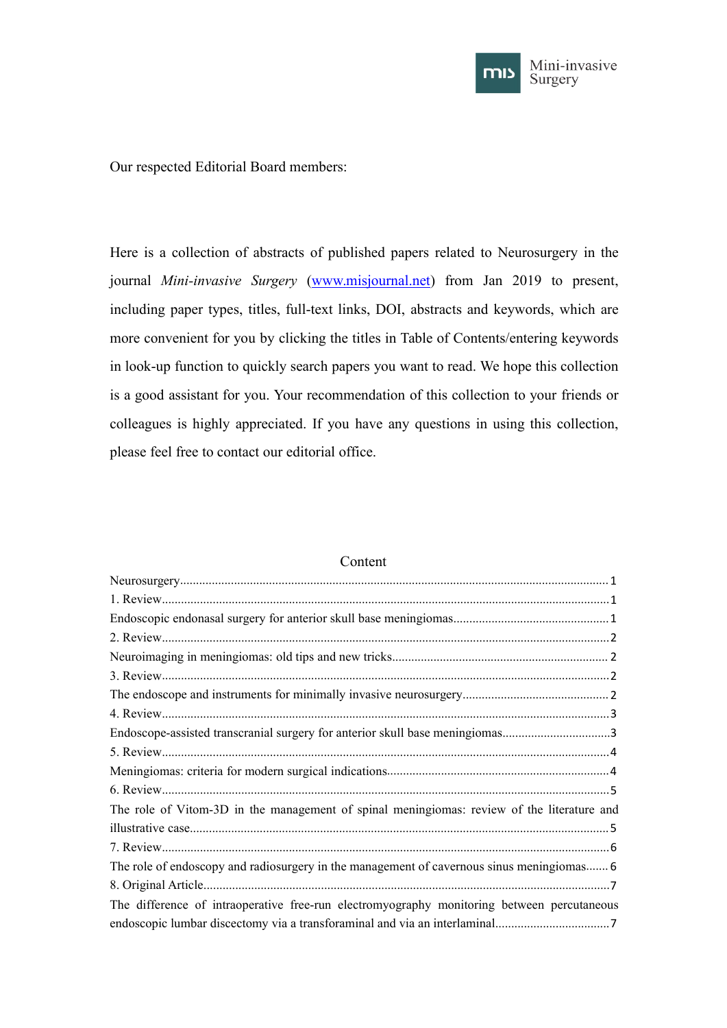

Our respected Editorial Board members:

Here is a collection of abstracts of published papers related to Neurosurgery in the journal *Mini-invasive Surgery* [\(www.misjournal.net\)](http://www.misjournal.net) from Jan 2019 to present, including paper types, titles, full-text links, DOI, abstracts and keywords, which are more convenient for you by clicking the titles in Table of Contents/entering keywords in look-up function to quickly search papers you want to read. We hope this collection is a good assistant for you. Your recommendation of this collection to your friends or colleagues is highly appreciated. If you have any questions in using this collection, please feel free to contact our editorial office.

| Endoscope-assisted transcranial surgery for anterior skull base meningiomas3               |
|--------------------------------------------------------------------------------------------|
|                                                                                            |
|                                                                                            |
|                                                                                            |
| The role of Vitom-3D in the management of spinal meningiomas: review of the literature and |
|                                                                                            |
|                                                                                            |
| The role of endoscopy and radiosurgery in the management of cavernous sinus meningiomas 6  |
|                                                                                            |
| The difference of intraoperative free-run electromyography monitoring between percutaneous |
|                                                                                            |

#### Content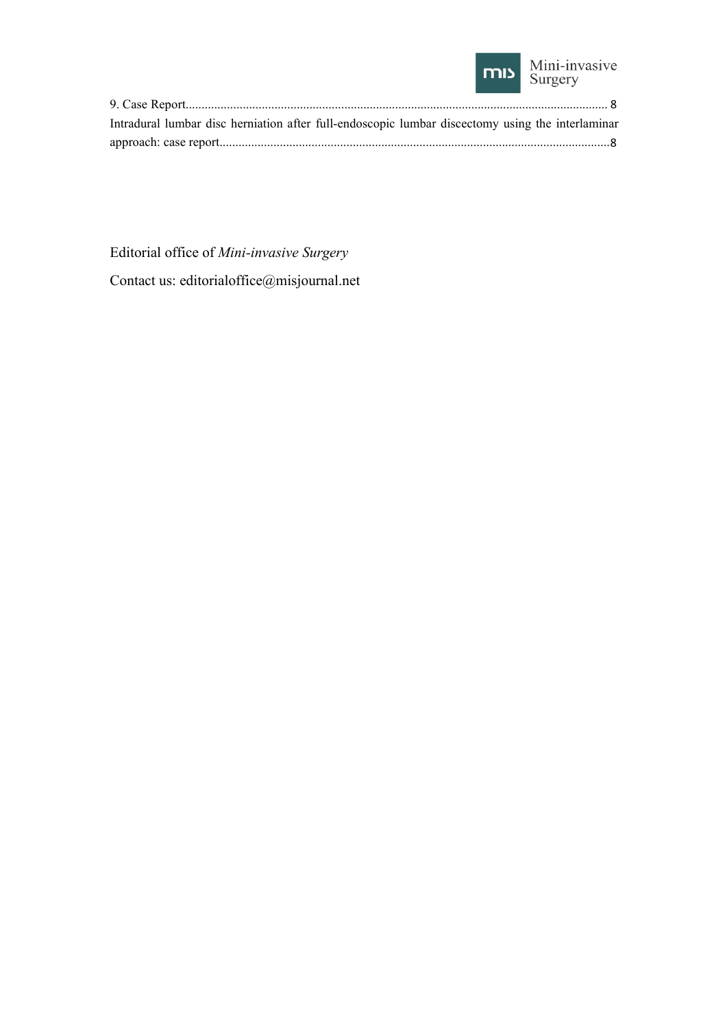

| Intradural lumbar disc herniation after full-endoscopic lumbar discectomy using the interlaminar |  |
|--------------------------------------------------------------------------------------------------|--|
|                                                                                                  |  |

Editorial office of *Mini-invasive Surgery*

Contact us: editorialoffice@misjournal.net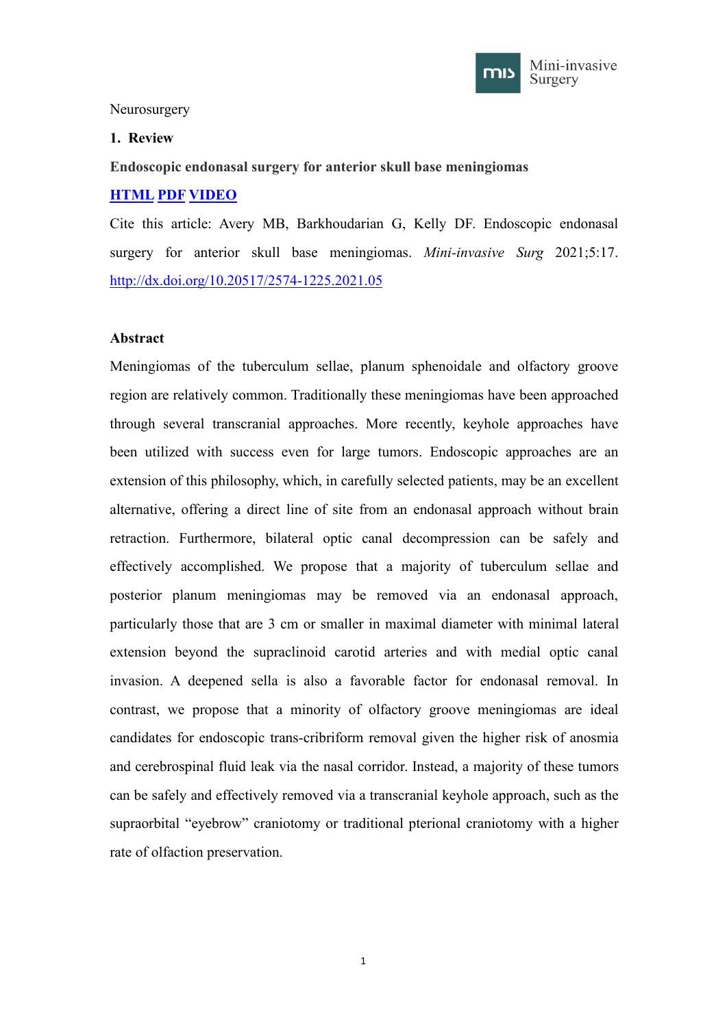

### <span id="page-2-0"></span>Neurosurgery

### <span id="page-2-1"></span>**1. Review**

<span id="page-2-2"></span>**Endoscopic endonasal surgery for anterior skull base meningiomas**

## **[HTML](https://misjournal.net/article/view/3999) [PDF](https://misjournal.net/article/download/3999) [VIDEO](https://misjournal.net/files/talkvideo/3999.mp4)**

Cite this article: Avery MB, Barkhoudarian G, Kelly DF. Endoscopic endonasal surgery for anterior skull base meningiomas. *Mini-invasive Surg* 2021;5:17. <http://dx.doi.org/10.20517/2574-1225.2021.05>

## **Abstract**

Meningiomas of the tuberculum sellae, planum sphenoidale and olfactory groove region are relatively common. Traditionally these meningiomas have been approached through several transcranial approaches. More recently, keyhole approaches have been utilized with success even for large tumors. Endoscopic approaches are an extension of this philosophy, which, in carefully selected patients, may be an excellent alternative, offering a direct line of site from an endonasal approach without brain retraction. Furthermore, bilateral optic canal decompression can be safely and effectively accomplished. We propose that a majority of tuberculum sellae and posterior planum meningiomas may be removed via an endonasal approach, particularly those that are 3 cm or smaller in maximal diameter with minimal lateral extension beyond the supraclinoid carotid arteries and with medial optic canal invasion. A deepened sella is also a favorable factor for endonasal removal. In contrast, we propose that a minority of olfactory groove meningiomas are ideal candidates for endoscopic trans-cribriform removal given the higher risk of anosmia and cerebrospinal fluid leak via the nasal corridor. Instead, a majority of these tumors can be safely and effectively removed via a transcranial keyhole approach, such as the supraorbital "eyebrow" craniotomy or traditional pterional craniotomy with a higher rate of olfaction preservation.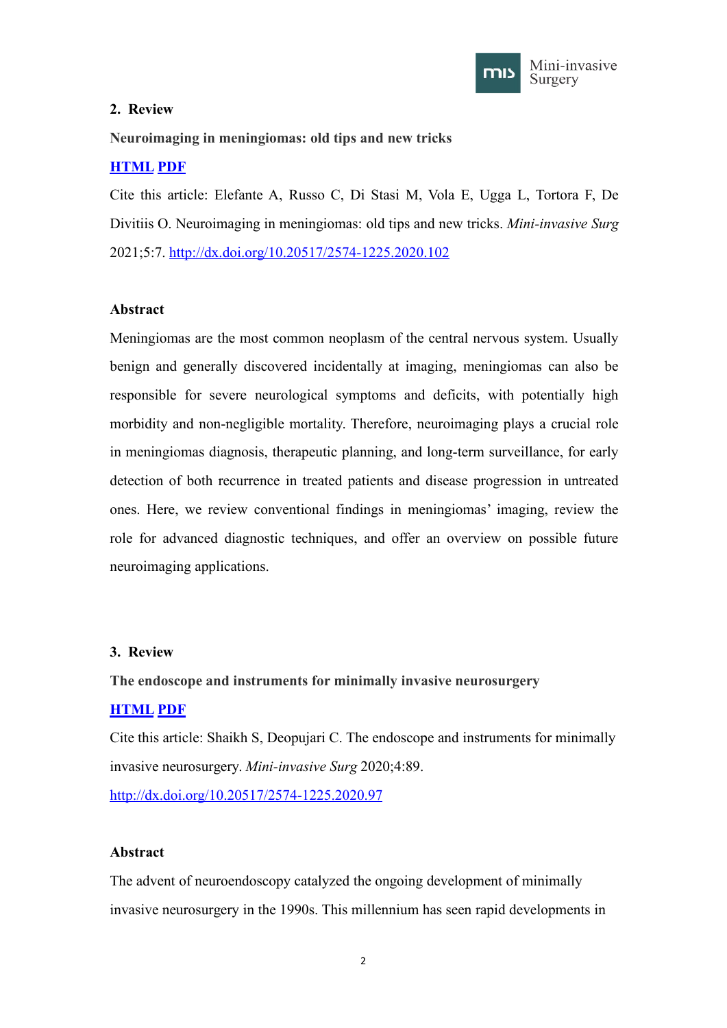

## <span id="page-3-0"></span>**2. Review**

<span id="page-3-1"></span>**Neuroimaging in meningiomas: old tips and new tricks**

# **[HTML](https://misjournal.net/article/view/3902) [PDF](https://misjournal.net/article/download/3902)**

Cite this article: Elefante A, Russo C, Di Stasi M, Vola E, Ugga L, Tortora F, De Divitiis O. Neuroimaging in meningiomas: old tips and new tricks. *Mini-invasive Surg* 2021;5:7. <http://dx.doi.org/10.20517/2574-1225.2020.102>

## **Abstract**

Meningiomas are the most common neoplasm of the central nervous system. Usually benign and generally discovered incidentally at imaging, meningiomas can also be responsible for severe neurological symptoms and deficits, with potentially high morbidity and non-negligible mortality. Therefore, neuroimaging plays a crucial role in meningiomas diagnosis, therapeutic planning, and long-term surveillance, for early detection of both recurrence in treated patients and disease progression in untreated ones. Here, we review conventional findings in meningiomas' imaging, review the role for advanced diagnostic techniques, and offer an overview on possible future neuroimaging applications.

## <span id="page-3-2"></span>**3. Review**

## <span id="page-3-3"></span>**The endoscope and instruments for minimally invasive neurosurgery**

## **[HTML](https://misjournal.net/article/view/3811) [PDF](https://oaepublishstorage.blob.core.windows.net/29b64a5d-b9e0-46db-8537-d28663373146/3811.pdf)**

Cite this article: Shaikh S, Deopujari C. The endoscope and instruments for minimally invasive neurosurgery. *Mini-invasive Surg* 2020;4:89. <http://dx.doi.org/10.20517/2574-1225.2020.97>

## **Abstract**

The advent of neuroendoscopy catalyzed the ongoing development of minimally invasive neurosurgery in the 1990s. This millennium has seen rapid developments in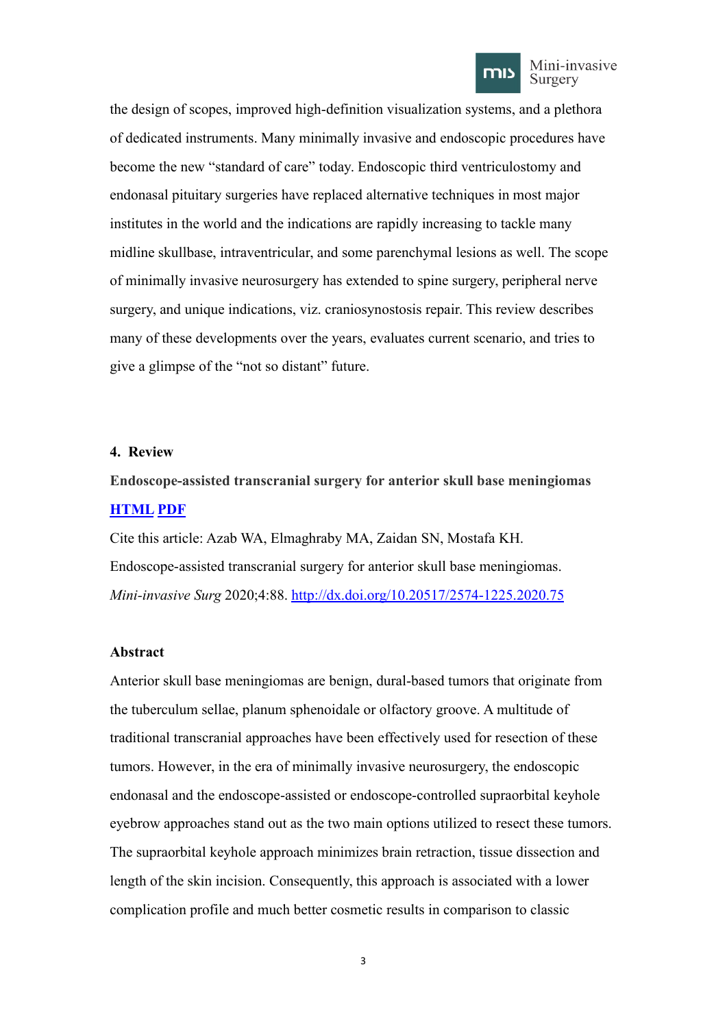

Mini-invasive Surgery

the design of scopes, improved high-definition visualization systems, and a plethora of dedicated instruments. Many minimally invasive and endoscopic procedures have become the new "standard of care" today. Endoscopic third ventriculostomy and endonasal pituitary surgeries have replaced alternative techniques in most major institutes in the world and the indications are rapidly increasing to tackle many midline skullbase, intraventricular, and some parenchymal lesions as well. The scope of minimally invasive neurosurgery has extended to spine surgery, peripheral nerve surgery, and unique indications, viz. craniosynostosis repair. This review describes many of these developments over the years, evaluates current scenario, and tries to give a glimpse of the "not so distant" future.

#### <span id="page-4-0"></span>**4. Review**

<span id="page-4-1"></span>**Endoscope-assisted transcranial surgery for anterior skull base meningiomas [HTML](https://misjournal.net/article/view/3810) [PDF](https://oaepublishstorage.blob.core.windows.net/91967c91-1378-403d-82b6-9a4e44c951e3/3810.pdf)**

Cite this article: Azab WA, Elmaghraby MA, Zaidan SN, Mostafa KH. Endoscope-assisted transcranial surgery for anterior skull base meningiomas. *Mini-invasive Surg* 2020;4:88. <http://dx.doi.org/10.20517/2574-1225.2020.75>

#### **Abstract**

Anterior skull base meningiomas are benign, dural-based tumors that originate from the tuberculum sellae, planum sphenoidale or olfactory groove. A multitude of traditional transcranial approaches have been effectively used for resection of these tumors. However, in the era of minimally invasive neurosurgery, the endoscopic endonasal and the endoscope-assisted or endoscope-controlled supraorbital keyhole eyebrow approaches stand out as the two main options utilized to resect these tumors. The supraorbital keyhole approach minimizes brain retraction, tissue dissection and length of the skin incision. Consequently, this approach is associated with a lower complication profile and much better cosmetic results in comparison to classic

3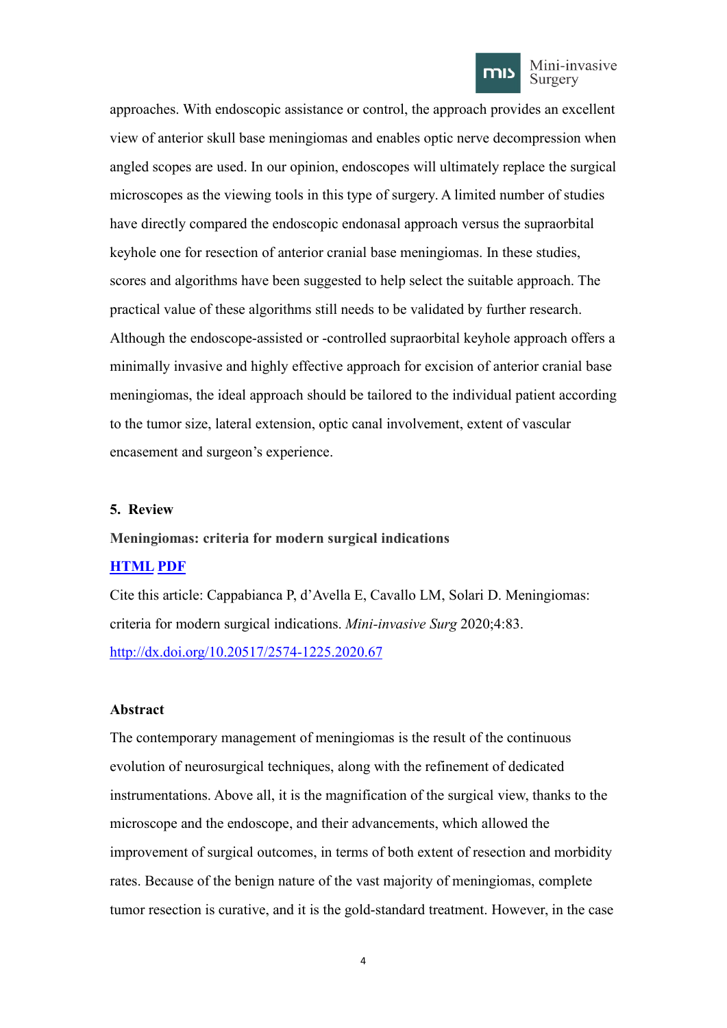

#### Mini-invasive Surgery

approaches. With endoscopic assistance or control, the approach provides an excellent view of anterior skull base meningiomas and enables optic nerve decompression when angled scopes are used. In our opinion, endoscopes will ultimately replace the surgical microscopes as the viewing tools in this type of surgery. A limited number of studies have directly compared the endoscopic endonasal approach versus the supraorbital keyhole one for resection of anterior cranial base meningiomas. In these studies, scores and algorithms have been suggested to help select the suitable approach. The practical value of these algorithms still needs to be validated by further research. Although the endoscope-assisted or -controlled supraorbital keyhole approach offers a minimally invasive and highly effective approach for excision of anterior cranial base meningiomas, the ideal approach should be tailored to the individual patient according to the tumor size, lateral extension, optic canal involvement, extent of vascular encasement and surgeon's experience.

### <span id="page-5-0"></span>**5. Review**

### <span id="page-5-1"></span>**Meningiomas: criteria for modern surgical indications**

## **[HTML](https://misjournal.net/article/view/3766) [PDF](https://oaepublishstorage.blob.core.windows.net/9085b322-5602-4602-a795-f4b71f4a0446/3766.pdf)**

Cite this article: Cappabianca P, d'Avella E, Cavallo LM, Solari D. Meningiomas: criteria for modern surgical indications. *Mini-invasive Surg* 2020;4:83. <http://dx.doi.org/10.20517/2574-1225.2020.67>

### **Abstract**

The contemporary management of meningiomas is the result of the continuous evolution of neurosurgical techniques, along with the refinement of dedicated instrumentations. Above all, it is the magnification of the surgical view, thanks to the microscope and the endoscope, and their advancements, which allowed the improvement of surgical outcomes, in terms of both extent of resection and morbidity rates. Because of the benign nature of the vast majority of meningiomas, complete tumor resection is curative, and it is the gold-standard treatment. However, in the case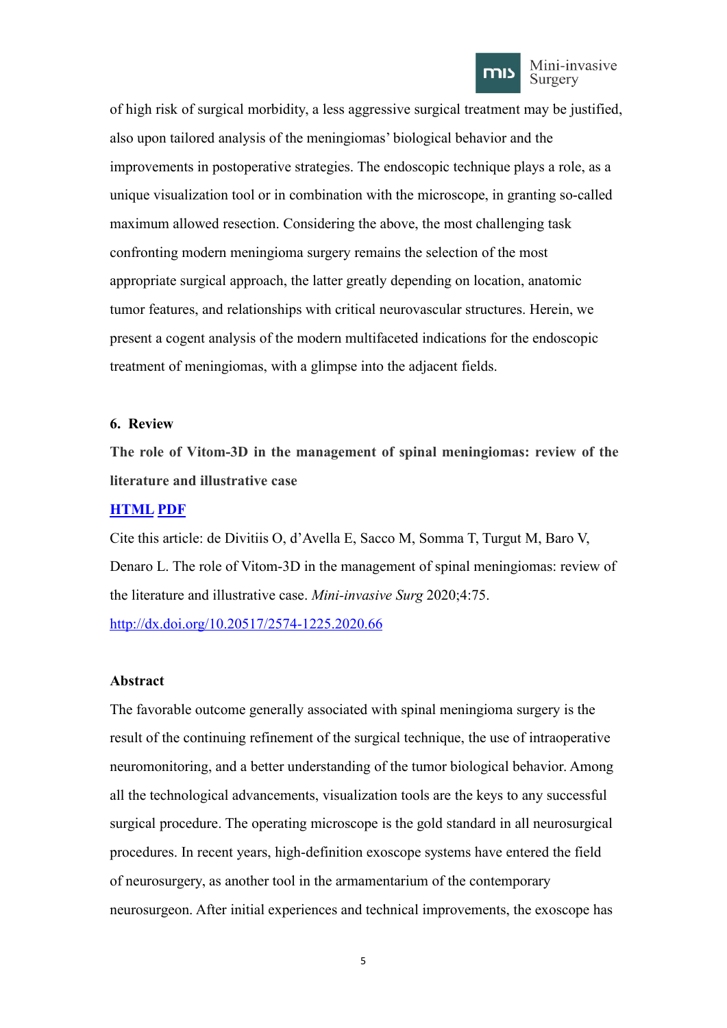

of high risk of surgical morbidity, a less aggressive surgical treatment may be justified, also upon tailored analysis of the meningiomas' biological behavior and the improvements in postoperative strategies. The endoscopic technique plays a role, as a unique visualization tool or in combination with the microscope, in granting so-called maximum allowed resection. Considering the above, the most challenging task confronting modern meningioma surgery remains the selection of the most appropriate surgical approach, the latter greatly depending on location, anatomic tumor features, and relationships with critical neurovascular structures. Herein, we present a cogent analysis of the modern multifaceted indications for the endoscopic treatment of meningiomas, with a glimpse into the adjacent fields.

### <span id="page-6-0"></span>**6. Review**

<span id="page-6-1"></span>**The role of Vitom-3D in the management of spinal meningiomas: review of the literature and illustrative case**

### **[HTML](https://misjournal.net/article/view/3749) [PDF](https://oaepublishstorage.blob.core.windows.net/bc429888-279b-493d-a2b7-bb0b467a54c5/3749.pdf)**

Cite this article: de Divitiis O, d'Avella E, Sacco M, Somma T, Turgut M, Baro V, Denaro L. The role of Vitom-3D in the management of spinal meningiomas: review of the literature and illustrative case. *Mini-invasive Surg* 2020;4:75.

<http://dx.doi.org/10.20517/2574-1225.2020.66>

### **Abstract**

The favorable outcome generally associated with spinal meningioma surgery is the result of the continuing refinement of the surgical technique, the use of intraoperative neuromonitoring, and a better understanding of the tumor biological behavior. Among all the technological advancements, visualization tools are the keys to any successful surgical procedure. The operating microscope is the gold standard in all neurosurgical procedures. In recent years, high-definition exoscope systems have entered the field of neurosurgery, as another tool in the armamentarium of the contemporary neurosurgeon. After initial experiences and technical improvements, the exoscope has

5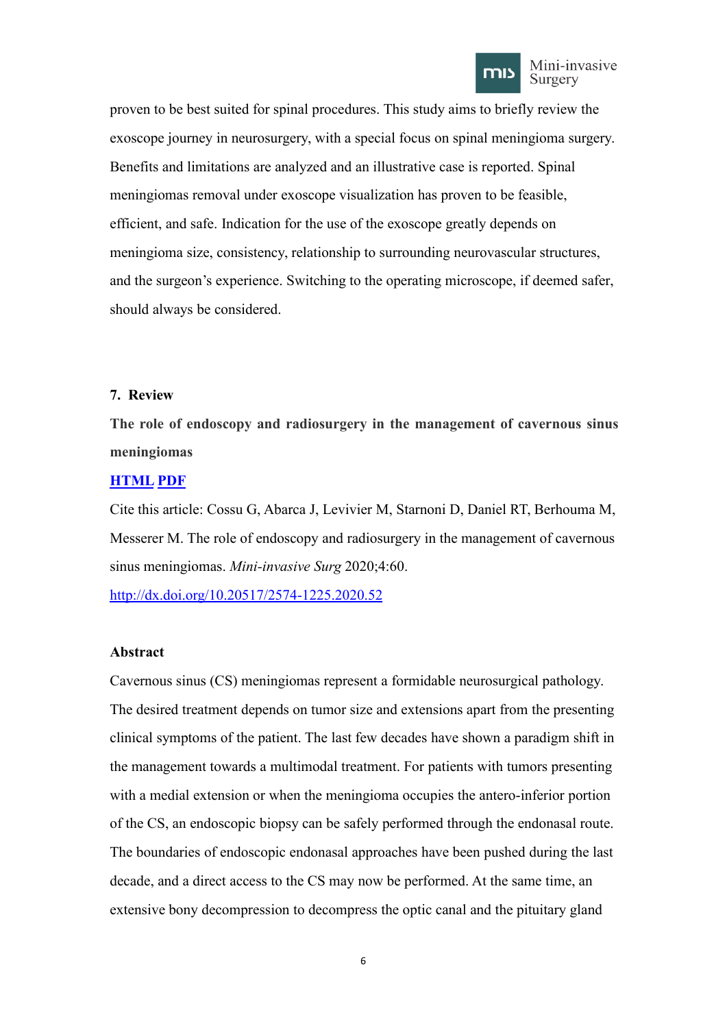

proven to be best suited for spinal procedures. This study aims to briefly review the exoscope journey in neurosurgery, with a special focus on spinal meningioma surgery. Benefits and limitations are analyzed and an illustrative case is reported. Spinal meningiomas removal under exoscope visualization has proven to be feasible, efficient, and safe. Indication for the use of the exoscope greatly depends on meningioma size, consistency, relationship to surrounding neurovascular structures, and the surgeon's experience. Switching to the operating microscope, if deemed safer, should always be considered.

## <span id="page-7-0"></span>**7. Review**

<span id="page-7-1"></span>**The role of endoscopy and radiosurgery in the management of cavernous sinus meningiomas**

### **[HTML](https://misjournal.net/article/view/3639) [PDF](https://oaepublishstorage.blob.core.windows.net/9c1a69a0-dce5-4b6c-aae7-73348322e773/3639.pdf)**

Cite this article: Cossu G, Abarca J, Levivier M, Starnoni D, Daniel RT, Berhouma M, Messerer M. The role of endoscopy and radiosurgery in the management of cavernous sinus meningiomas. *Mini-invasive Surg* 2020;4:60.

<http://dx.doi.org/10.20517/2574-1225.2020.52>

### **Abstract**

Cavernous sinus (CS) meningiomas represent a formidable neurosurgical pathology. The desired treatment depends on tumor size and extensions apart from the presenting clinical symptoms of the patient. The last few decades have shown a paradigm shift in the management towards a multimodal treatment. For patients with tumors presenting with a medial extension or when the meningioma occupies the antero-inferior portion of the CS, an endoscopic biopsy can be safely performed through the endonasal route. The boundaries of endoscopic endonasal approaches have been pushed during the last decade, and a direct access to the CS may now be performed. At the same time, an extensive bony decompression to decompress the optic canal and the pituitary gland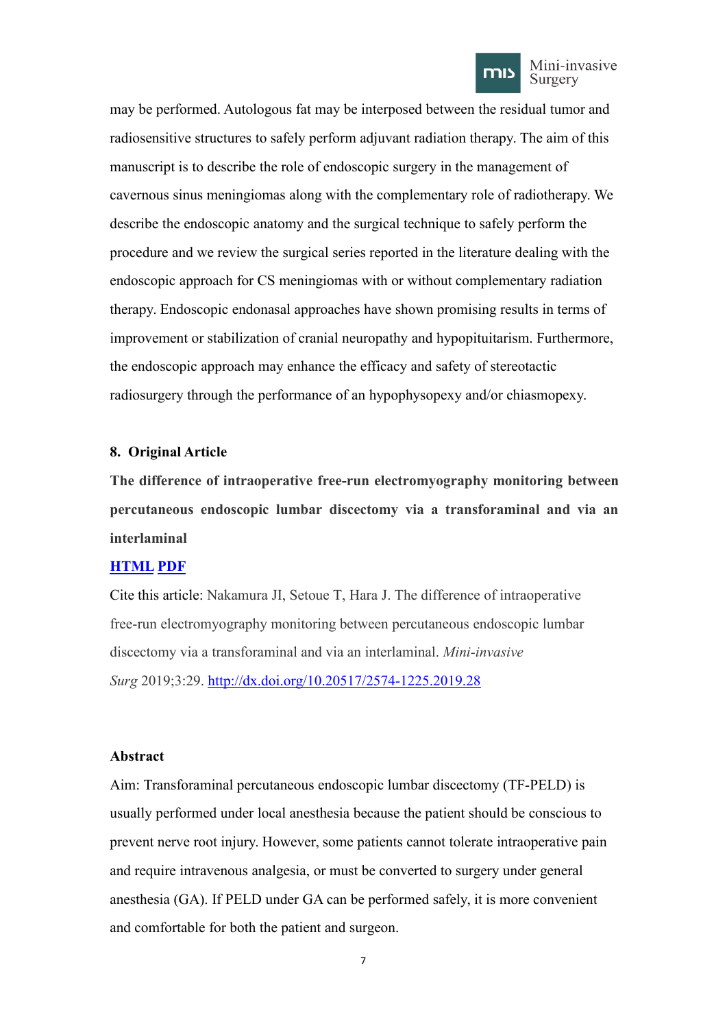

may be performed. Autologous fat may be interposed between the residual tumor and radiosensitive structures to safely perform adjuvant radiation therapy. The aim of this manuscript is to describe the role of endoscopic surgery in the management of cavernous sinus meningiomas along with the complementary role of radiotherapy. We describe the endoscopic anatomy and the surgical technique to safely perform the procedure and we review the surgical series reported in the literature dealing with the endoscopic approach for CS meningiomas with or without complementary radiation therapy. Endoscopic endonasal approaches have shown promising results in terms of improvement or stabilization of cranial neuropathy and hypopituitarism. Furthermore, the endoscopic approach may enhance the efficacy and safety of stereotactic radiosurgery through the performance of an hypophysopexy and/or chiasmopexy.

### <span id="page-8-0"></span>**8. Original Article**

<span id="page-8-1"></span>**The difference of intraoperative free-run electromyography monitoring between percutaneous endoscopic lumbar discectomy via a transforaminal and via an interlaminal**

### **[HTML](https://misjournal.net/article/view/3236) [PDF](https://oaepublishstorage.blob.core.windows.net/d48bfa19-4f98-4836-9023-3786148db542/3236.pdf)**

Cite this article: Nakamura JI, Setoue T, Hara J. The difference of intraoperative free-run electromyography monitoring between percutaneous endoscopic lumbar discectomy via a transforaminal and via an interlaminal. *Mini-invasive Surg* 2019;3:29. <http://dx.doi.org/10.20517/2574-1225.2019.28>

### **Abstract**

Aim: Transforaminal percutaneous endoscopic lumbar discectomy (TF-PELD) is usually performed under local anesthesia because the patient should be conscious to prevent nerve root injury. However, some patients cannot tolerate intraoperative pain and require intravenous analgesia, or must be converted to surgery under general anesthesia (GA). If PELD under GA can be performed safely, it is more convenient and comfortable for both the patient and surgeon.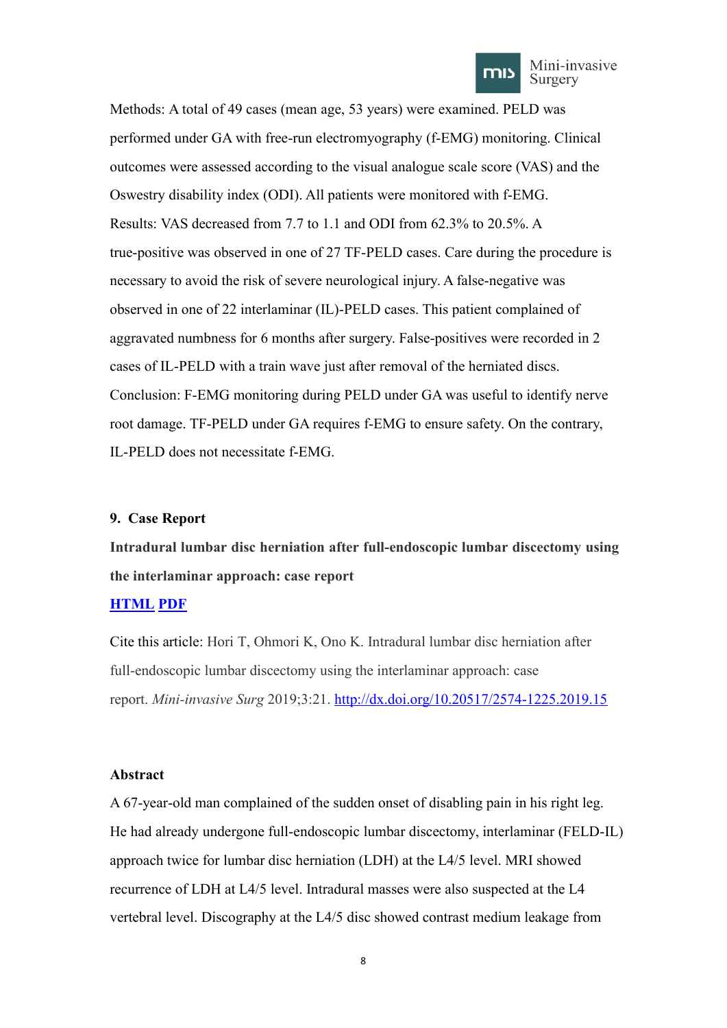

Methods: A total of 49 cases (mean age, 53 years) were examined. PELD was performed under GA with free-run electromyography (f-EMG) monitoring. Clinical outcomes were assessed according to the visual analogue scale score (VAS) and the Oswestry disability index (ODI). All patients were monitored with f-EMG. Results: VAS decreased from 7.7 to 1.1 and ODI from 62.3% to 20.5%. A true-positive was observed in one of 27 TF-PELD cases. Care during the procedure is necessary to avoid the risk of severe neurological injury. A false-negative was observed in one of 22 interlaminar (IL)-PELD cases. This patient complained of aggravated numbness for 6 months after surgery. False-positives were recorded in 2 cases of IL-PELD with a train wave just after removal of the herniated discs. Conclusion: F-EMG monitoring during PELD under GA was useful to identify nerve root damage. TF-PELD under GA requires f-EMG to ensure safety. On the contrary, IL-PELD does not necessitate f-EMG.

### <span id="page-9-0"></span>**9. Case Report**

<span id="page-9-1"></span>**Intradural lumbar disc herniation after full-endoscopic lumbar discectomy using the interlaminar approach: case report**

## **[HTML](https://misjournal.net/article/view/3158) [PDF](https://oaepublishstorage.blob.core.windows.net/c29ed1ce-605c-4927-980e-2cde335ff913/3158.pdf)**

Cite this article: Hori T, Ohmori K, Ono K. Intradural lumbar disc herniation after full-endoscopic lumbar discectomy using the interlaminar approach: case report. *Mini-invasive Surg* 2019;3:21. <http://dx.doi.org/10.20517/2574-1225.2019.15>

### **Abstract**

A 67-year-old man complained of the sudden onset of disabling pain in his right leg. He had already undergone full-endoscopic lumbar discectomy, interlaminar (FELD-IL) approach twice for lumbar disc herniation (LDH) at the L4/5 level. MRI showed recurrence of LDH at L4/5 level. Intradural masses were also suspected at the L4 vertebral level. Discography at the L4/5 disc showed contrast medium leakage from